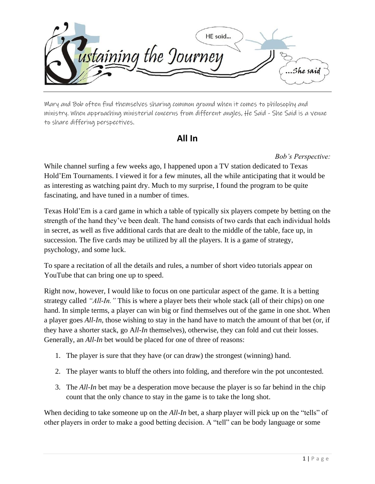

Mary and Bob often find themselves sharing common ground when it comes to philosophy and ministry. When approaching ministerial concerns from different angles, He Said - She Said is a venue to share differing perspectives.

## **All In**

*Bob's Perspective:*

While channel surfing a few weeks ago, I happened upon a TV station dedicated to Texas Hold'Em Tournaments. I viewed it for a few minutes, all the while anticipating that it would be as interesting as watching paint dry. Much to my surprise, I found the program to be quite fascinating, and have tuned in a number of times.

Texas Hold'Em is a card game in which a table of typically six players compete by betting on the strength of the hand they've been dealt. The hand consists of two cards that each individual holds in secret, as well as five additional cards that are dealt to the middle of the table, face up, in succession. The five cards may be utilized by all the players. It is a game of strategy, psychology, and some luck.

To spare a recitation of all the details and rules, a number of short video tutorials appear on YouTube that can bring one up to speed.

Right now, however, I would like to focus on one particular aspect of the game. It is a betting strategy called *"All-In."* This is where a player bets their whole stack (all of their chips) on one hand. In simple terms, a player can win big or find themselves out of the game in one shot. When a player goes *All-In,* those wishing to stay in the hand have to match the amount of that bet (or, if they have a shorter stack, go A*ll-In* themselves), otherwise, they can fold and cut their losses. Generally, an *All-In* bet would be placed for one of three of reasons:

- 1. The player is sure that they have (or can draw) the strongest (winning) hand.
- 2. The player wants to bluff the others into folding, and therefore win the pot uncontested.
- 3. The *All-In* bet may be a desperation move because the player is so far behind in the chip count that the only chance to stay in the game is to take the long shot.

When deciding to take someone up on the *All-In* bet, a sharp player will pick up on the "tells" of other players in order to make a good betting decision. A "tell" can be body language or some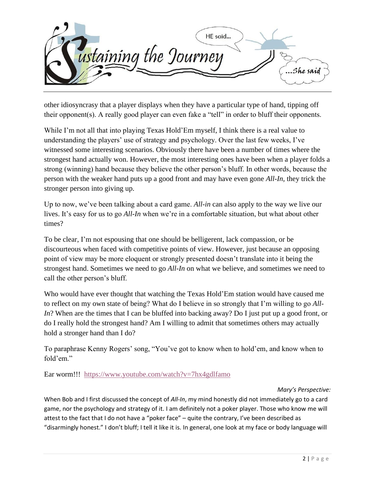

other idiosyncrasy that a player displays when they have a particular type of hand, tipping off their opponent(s). A really good player can even fake a "tell" in order to bluff their opponents.

While I'm not all that into playing Texas Hold'Em myself, I think there is a real value to understanding the players' use of strategy and psychology. Over the last few weeks, I've witnessed some interesting scenarios. Obviously there have been a number of times where the strongest hand actually won. However, the most interesting ones have been when a player folds a strong (winning) hand because they believe the other person's bluff. In other words, because the person with the weaker hand puts up a good front and may have even gone *All-In*, they trick the stronger person into giving up.

Up to now, we've been talking about a card game. *All-in* can also apply to the way we live our lives. It's easy for us to go *All-In* when we're in a comfortable situation, but what about other times?

To be clear, I'm not espousing that one should be belligerent, lack compassion, or be discourteous when faced with competitive points of view. However, just because an opposing point of view may be more eloquent or strongly presented doesn't translate into it being the strongest hand. Sometimes we need to go *All-In* on what we believe, and sometimes we need to call the other person's bluff.

Who would have ever thought that watching the Texas Hold'Em station would have caused me to reflect on my own state of being? What do I believe in so strongly that I'm willing to go *All-In*? When are the times that I can be bluffed into backing away? Do I just put up a good front, or do I really hold the strongest hand? Am I willing to admit that sometimes others may actually hold a stronger hand than I do?

To paraphrase Kenny Rogers' song, "You've got to know when to hold'em, and know when to fold'em."

Ear worm!!! <https://www.youtube.com/watch?v=7hx4gdlfamo>

## *Mary's Perspective:*

When Bob and I first discussed the concept of *All-In*, my mind honestly did not immediately go to a card game, nor the psychology and strategy of it. I am definitely not a poker player. Those who know me will attest to the fact that I do not have a "poker face" – quite the contrary, I've been described as "disarmingly honest." I don't bluff; I tell it like it is. In general, one look at my face or body language will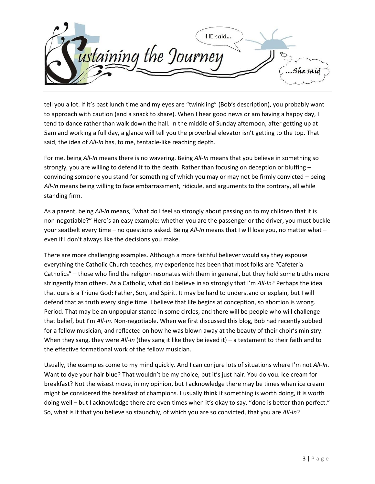

tell you a lot. If it's past lunch time and my eyes are "twinkling" (Bob's description), you probably want to approach with caution (and a snack to share). When I hear good news or am having a happy day, I tend to dance rather than walk down the hall. In the middle of Sunday afternoon, after getting up at 5am and working a full day, a glance will tell you the proverbial elevator isn't getting to the top. That said, the idea of *All-In* has, to me, tentacle-like reaching depth.

For me, being *All-In* means there is no wavering. Being *All-In* means that you believe in something so strongly, you are willing to defend it to the death. Rather than focusing on deception or bluffing – convincing someone you stand for something of which you may or may not be firmly convicted – being *All-In* means being willing to face embarrassment, ridicule, and arguments to the contrary, all while standing firm.

As a parent, being *All-In* means, "what do I feel so strongly about passing on to my children that it is non-negotiable?" Here's an easy example: whether you are the passenger or the driver, you must buckle your seatbelt every time – no questions asked. Being *All-In* means that I will love you, no matter what – even if I don't always like the decisions you make.

There are more challenging examples. Although a more faithful believer would say they espouse everything the Catholic Church teaches, my experience has been that most folks are "Cafeteria Catholics" – those who find the religion resonates with them in general, but they hold some truths more stringently than others. As a Catholic, what do I believe in so strongly that I'm *All-In*? Perhaps the idea that ours is a Triune God: Father, Son, and Spirit. It may be hard to understand or explain, but I will defend that as truth every single time. I believe that life begins at conception, so abortion is wrong. Period. That may be an unpopular stance in some circles, and there will be people who will challenge that belief, but I'm *All-In*. Non-negotiable. When we first discussed this blog, Bob had recently subbed for a fellow musician, and reflected on how he was blown away at the beauty of their choir's ministry. When they sang, they were *All-In* (they sang it like they believed it) – a testament to their faith and to the effective formational work of the fellow musician.

Usually, the examples come to my mind quickly. And I can conjure lots of situations where I'm not *All-In*. Want to dye your hair blue? That wouldn't be my choice, but it's just hair. You do you. Ice cream for breakfast? Not the wisest move, in my opinion, but I acknowledge there may be times when ice cream might be considered the breakfast of champions. I usually think if something is worth doing, it is worth doing well – but I acknowledge there are even times when it's okay to say, "done is better than perfect." So, what is it that you believe so staunchly, of which you are so convicted, that you are *All-In*?